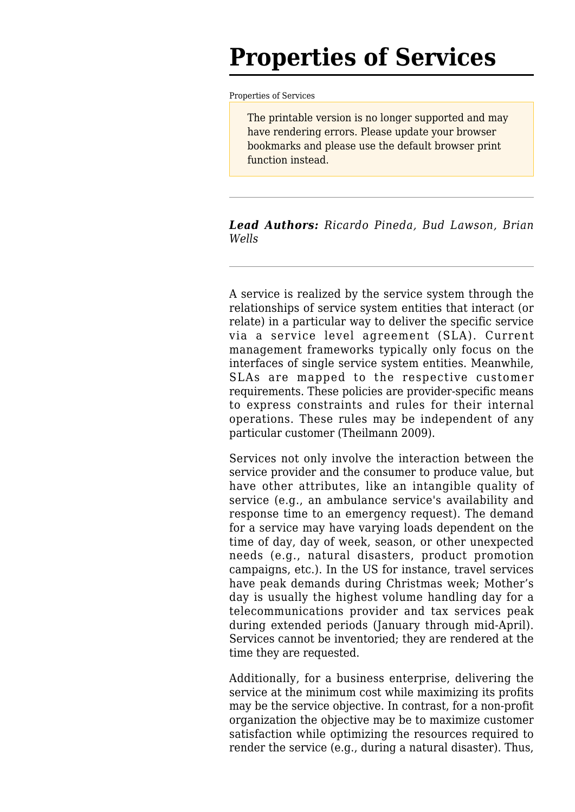# **Properties of Services**

[Properties of Services](http://www.sebokwiki.org/wiki/Properties_of_Services)

The printable version is no longer supported and may have rendering errors. Please update your browser bookmarks and please use the default browser print function instead.

#### *Lead Authors: Ricardo Pineda, Bud Lawson, Brian Wells*

A service is realized by the service system through the relationships of service system entities that interact (or relate) in a particular way to deliver the specific service via a service level agreement (SLA). Current management frameworks typically only focus on the interfaces of single service system entities. Meanwhile, SLAs are mapped to the respective customer requirements. These policies are provider-specific means to express constraints and rules for their internal operations. These rules may be independent of any particular customer (Theilmann 2009).

Services not only involve the interaction between the service provider and the consumer to produce value, but have other attributes, like an intangible quality of service (e.g., an ambulance service's availability and response time to an emergency request). The demand for a service may have varying loads dependent on the time of day, day of week, season, or other unexpected needs (e.g., natural disasters, product promotion campaigns, etc.). In the US for instance, travel services have peak demands during Christmas week; Mother's day is usually the highest volume handling day for a telecommunications provider and tax services peak during extended periods (January through mid-April). Services cannot be inventoried; they are rendered at the time they are requested.

Additionally, for a business enterprise, delivering the service at the minimum cost while maximizing its profits may be the service objective. In contrast, for a non-profit organization the objective may be to maximize customer satisfaction while optimizing the resources required to render the service (e.g., during a natural disaster). Thus,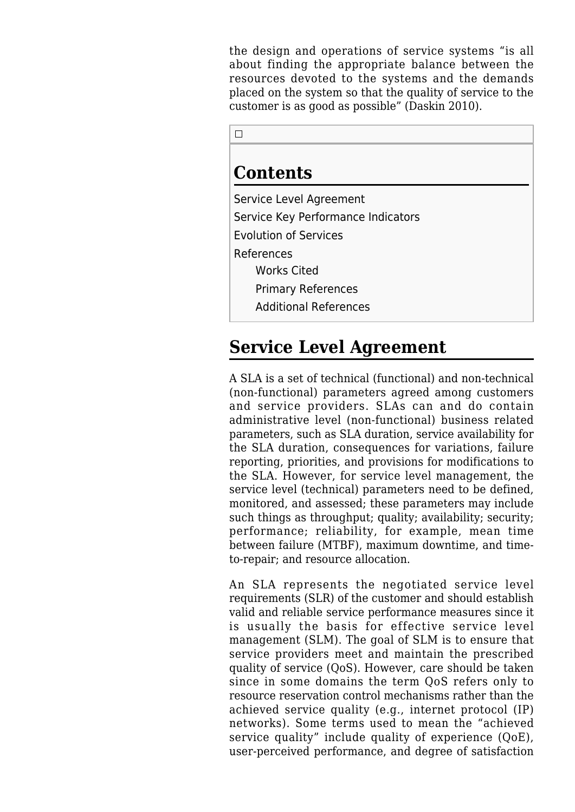the design and operations of service systems "is all about finding the appropriate balance between the resources devoted to the systems and the demands placed on the system so that the quality of service to the customer is as good as possible" (Daskin 2010).

 $\Box$ 

## **Contents**

[Service Level Agreement](#page--1-0) [Service Key Performance Indicators](#page--1-0) [Evolution of Services](#page--1-0) [References](#page--1-0) [Works Cited](#page--1-0) [Primary References](#page--1-0) [Additional References](#page--1-0)

# **Service Level Agreement**

A SLA is a set of technical (functional) and non-technical (non-functional) parameters agreed among customers and service providers. SLAs can and do contain administrative level (non-functional) business related parameters, such as SLA duration, service availability for the SLA duration, consequences for variations, failure reporting, priorities, and provisions for modifications to the SLA. However, for service level management, the service level (technical) parameters need to be defined, monitored, and assessed; these parameters may include such things as throughput; quality; availability; security; performance; reliability, for example, mean time between failure (MTBF), maximum downtime, and timeto-repair; and resource allocation.

An SLA represents the negotiated service level requirements (SLR) of the customer and should establish valid and reliable service performance measures since it is usually the basis for effective service level management (SLM). The goal of SLM is to ensure that service providers meet and maintain the prescribed quality of service (QoS). However, care should be taken since in some domains the term QoS refers only to resource reservation control mechanisms rather than the achieved service quality (e.g., internet protocol (IP) networks). Some terms used to mean the "achieved service quality" include quality of experience (QoE), user-perceived performance, and degree of satisfaction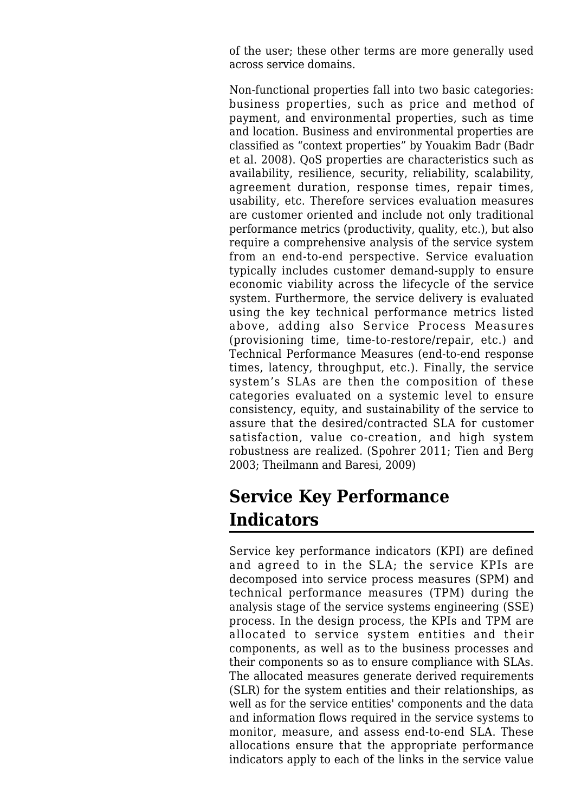of the user; these other terms are more generally used across service domains.

Non-functional properties fall into two basic categories: business properties, such as price and method of payment, and environmental properties, such as time and location. Business and environmental properties are classified as "context properties" by Youakim Badr (Badr et al. 2008). QoS properties are characteristics such as availability, resilience, security, reliability, scalability, agreement duration, response times, repair times, usability, etc. Therefore services evaluation measures are customer oriented and include not only traditional performance metrics (productivity, quality, etc.), but also require a comprehensive analysis of the service system from an end-to-end perspective. Service evaluation typically includes customer demand-supply to ensure economic viability across the lifecycle of the service system. Furthermore, the service delivery is evaluated using the key technical performance metrics listed above, adding also Service Process Measures (provisioning time, time-to-restore/repair, etc.) and Technical Performance Measures (end-to-end response times, latency, throughput, etc.). Finally, the service system's SLAs are then the composition of these categories evaluated on a systemic level to ensure consistency, equity, and sustainability of the service to assure that the desired/contracted SLA for customer satisfaction, value co-creation, and high system robustness are realized. (Spohrer 2011; Tien and Berg 2003; Theilmann and Baresi, 2009)

# **Service Key Performance Indicators**

Service key performance indicators (KPI) are defined and agreed to in the SLA; the service KPIs are decomposed into service process measures (SPM) and technical performance measures (TPM) during the analysis stage of the service systems engineering (SSE) process. In the design process, the KPIs and TPM are allocated to service system entities and their components, as well as to the business processes and their components so as to ensure compliance with SLAs. The allocated measures generate derived requirements (SLR) for the system entities and their relationships, as well as for the service entities' components and the data and information flows required in the service systems to monitor, measure, and assess end-to-end SLA. These allocations ensure that the appropriate performance indicators apply to each of the links in the service value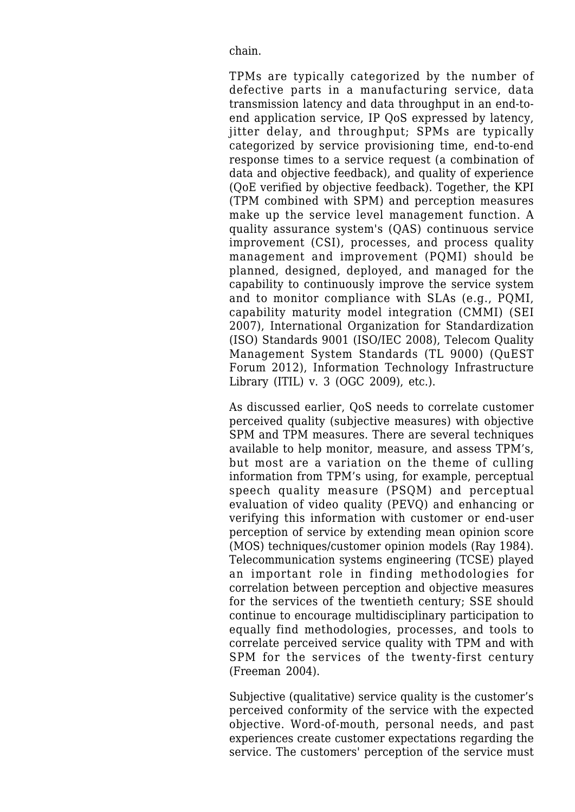chain.

TPMs are typically categorized by the number of defective parts in a manufacturing service, data transmission latency and data throughput in an end-toend application service, IP QoS expressed by latency, jitter delay, and throughput; SPMs are typically categorized by service provisioning time, end-to-end response times to a service request (a combination of data and objective feedback), and quality of experience (QoE verified by objective feedback). Together, the KPI (TPM combined with SPM) and perception measures make up the service level management function. A quality assurance system's (QAS) continuous service improvement (CSI), processes, and process quality management and improvement (PQMI) should be planned, designed, deployed, and managed for the capability to continuously improve the service system and to monitor compliance with SLAs (e.g., PQMI, capability maturity model integration (CMMI) (SEI 2007), International Organization for Standardization (ISO) Standards 9001 (ISO/IEC 2008), Telecom Quality Management System Standards (TL 9000) (QuEST Forum 2012), Information Technology Infrastructure Library (ITIL) v. 3 (OGC 2009), etc.).

As discussed earlier, QoS needs to correlate customer perceived quality (subjective measures) with objective SPM and TPM measures. There are several techniques available to help monitor, measure, and assess TPM's, but most are a variation on the theme of culling information from TPM's using, for example, perceptual speech quality measure (PSQM) and perceptual evaluation of video quality (PEVQ) and enhancing or verifying this information with customer or end-user perception of service by extending mean opinion score (MOS) techniques/customer opinion models (Ray 1984). Telecommunication systems engineering (TCSE) played an important role in finding methodologies for correlation between perception and objective measures for the services of the twentieth century; SSE should continue to encourage multidisciplinary participation to equally find methodologies, processes, and tools to correlate perceived service quality with TPM and with SPM for the services of the twenty-first century (Freeman 2004).

Subjective (qualitative) service quality is the customer's perceived conformity of the service with the expected objective. Word-of-mouth, personal needs, and past experiences create customer expectations regarding the service. The customers' perception of the service must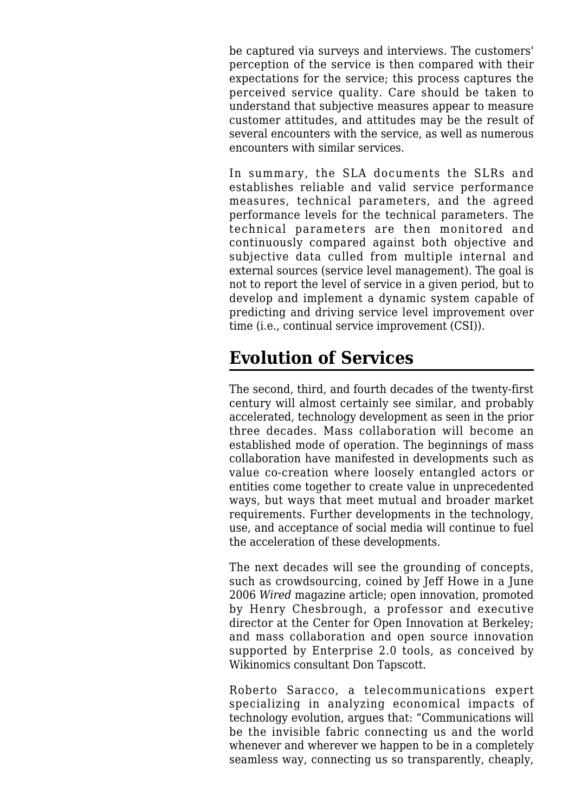be captured via surveys and interviews. The customers' perception of the service is then compared with their expectations for the service; this process captures the perceived service quality. Care should be taken to understand that subjective measures appear to measure customer attitudes, and attitudes may be the result of several encounters with the service, as well as numerous encounters with similar services.

In summary, the SLA documents the SLRs and establishes reliable and valid service performance measures, technical parameters, and the agreed performance levels for the technical parameters. The technical parameters are then monitored and continuously compared against both objective and subjective data culled from multiple internal and external sources (service level management). The goal is not to report the level of service in a given period, but to develop and implement a dynamic system capable of predicting and driving service level improvement over time (i.e., continual service improvement (CSI)).

## **Evolution of Services**

The second, third, and fourth decades of the twenty-first century will almost certainly see similar, and probably accelerated, technology development as seen in the prior three decades. Mass collaboration will become an established mode of operation. The beginnings of mass collaboration have manifested in developments such as value co-creation where loosely entangled actors or entities come together to create value in unprecedented ways, but ways that meet mutual and broader market requirements. Further developments in the technology, use, and acceptance of social media will continue to fuel the acceleration of these developments.

The next decades will see the grounding of concepts, such as crowdsourcing, coined by Jeff Howe in a June 2006 *Wired* magazine article; open innovation, promoted by Henry Chesbrough, a professor and executive director at the Center for Open Innovation at Berkeley; and mass collaboration and open source innovation supported by Enterprise 2.0 tools, as conceived by Wikinomics consultant Don Tapscott.

Roberto Saracco, a telecommunications expert specializing in analyzing economical impacts of technology evolution, argues that: "Communications will be the invisible fabric connecting us and the world whenever and wherever we happen to be in a completely seamless way, connecting us so transparently, cheaply,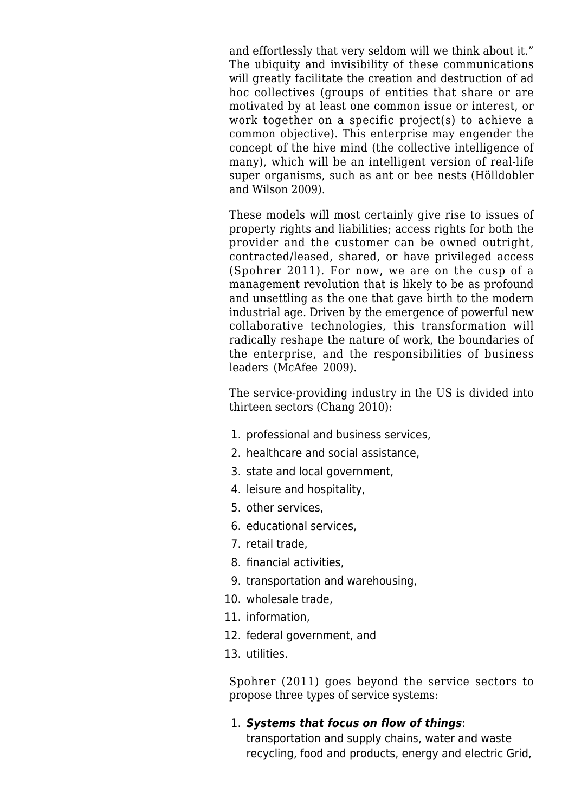and effortlessly that very seldom will we think about it." The ubiquity and invisibility of these communications will greatly facilitate the creation and destruction of ad hoc collectives (groups of entities that share or are motivated by at least one common issue or interest, or work together on a specific project(s) to achieve a common objective). This enterprise may engender the concept of the hive mind (the collective intelligence of many), which will be an intelligent version of real-life super organisms, such as ant or bee nests (Hölldobler and Wilson 2009).

These models will most certainly give rise to issues of property rights and liabilities; access rights for both the provider and the customer can be owned outright, contracted/leased, shared, or have privileged access (Spohrer 2011). For now, we are on the cusp of a management revolution that is likely to be as profound and unsettling as the one that gave birth to the modern industrial age. Driven by the emergence of powerful new collaborative technologies, this transformation will radically reshape the nature of work, the boundaries of the enterprise, and the responsibilities of business leaders (McAfee 2009).

The service-providing industry in the US is divided into thirteen sectors (Chang 2010):

- 1. professional and business services,
- 2. healthcare and social assistance,
- 3. state and local government,
- 4. leisure and hospitality,
- 5. other services,
- 6. educational services,
- 7. retail trade,
- 8. financial activities,
- 9. transportation and warehousing,
- 10. wholesale trade,
- 11. information,
- 12. federal government, and
- 13. utilities.

Spohrer (2011) goes beyond the service sectors to propose three types of service systems:

#### 1. *Systems that focus on flow of things*:

transportation and supply chains, water and waste recycling, food and products, energy and electric Grid,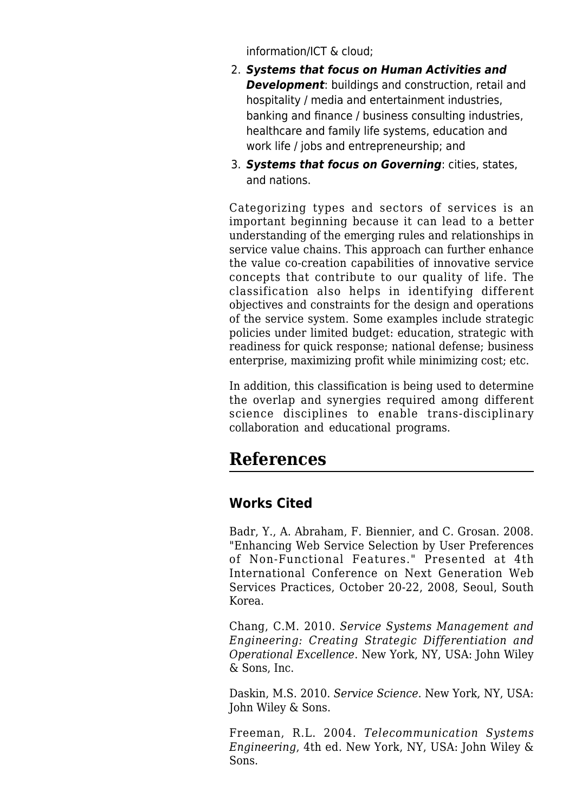information/ICT & cloud;

- 2. *Systems that focus on Human Activities and Development*: buildings and construction, retail and hospitality / media and entertainment industries, banking and finance / business consulting industries, healthcare and family life systems, education and work life / jobs and entrepreneurship; and
- 3. *Systems that focus on Governing*: cities, states, and nations.

Categorizing types and sectors of services is an important beginning because it can lead to a better understanding of the emerging rules and relationships in service value chains. This approach can further enhance the value co-creation capabilities of innovative service concepts that contribute to our quality of life. The classification also helps in identifying different objectives and constraints for the design and operations of the service system. Some examples include strategic policies under limited budget: education, strategic with readiness for quick response; national defense; business enterprise, maximizing profit while minimizing cost; etc.

In addition, this classification is being used to determine the overlap and synergies required among different science disciplines to enable trans-disciplinary collaboration and educational programs.

## **References**

### **Works Cited**

Badr, Y., A. Abraham, F. Biennier, and C. Grosan. 2008. "Enhancing Web Service Selection by User Preferences of Non-Functional Features." Presented at 4th International Conference on Next Generation Web Services Practices, October 20-22, 2008, Seoul, South Korea.

Chang, C.M. 2010. *[Service Systems Management and](http://www.sebokwiki.org/wiki/Service_Systems_Management_and_Engineering) [Engineering](http://www.sebokwiki.org/wiki/Service_Systems_Management_and_Engineering): Creating Strategic Differentiation and Operational Excellence*. New York, NY, USA: John Wiley & Sons, Inc.

Daskin, M.S. 2010. *Service Science*. New York, NY, USA: John Wiley & Sons.

Freeman, R.L. 2004. *[Telecommunication Systems](http://www.sebokwiki.org/wiki/Telecommunication_Systems_Engineering) [Engineering](http://www.sebokwiki.org/wiki/Telecommunication_Systems_Engineering)*, 4th ed. New York, NY, USA: John Wiley & Sons.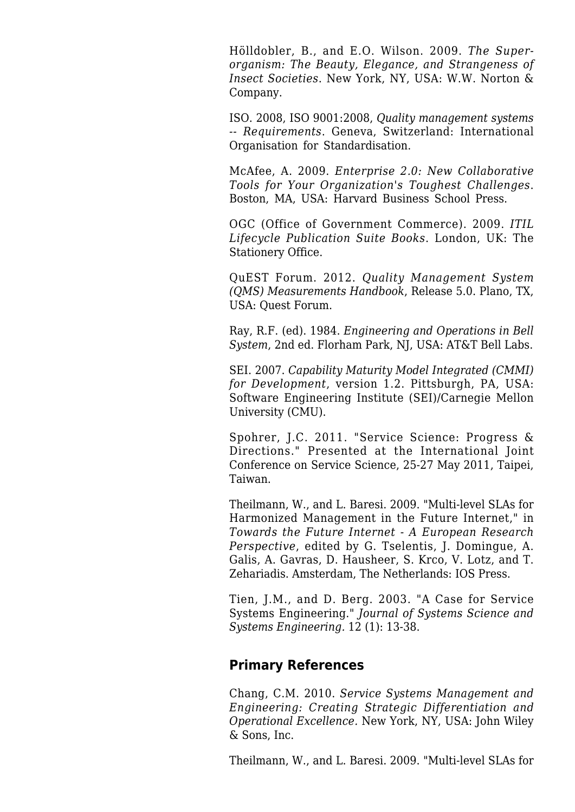Hölldobler, B., and E.O. Wilson. 2009. *The Superorganism: The Beauty, Elegance, and Strangeness of Insect Societies*. New York, NY, USA: W.W. Norton & Company.

ISO. 2008, ISO 9001:2008, *Quality management systems -- Requirements*. Geneva, Switzerland: International Organisation for Standardisation.

McAfee, A. 2009. *Enterprise 2.0: New Collaborative Tools for Your Organization's Toughest Challenges*. Boston, MA, USA: Harvard Business School Press.

OGC (Office of Government Commerce). 2009. *[ITIL](http://www.sebokwiki.org/wiki/ITIL_Lifecycle_Publication_Suite_Books) [Lifecycle Publication Suite Books](http://www.sebokwiki.org/wiki/ITIL_Lifecycle_Publication_Suite_Books)*. London, UK: The Stationery Office.

QuEST Forum. 2012. *Quality Management System (QMS) Measurements Handbook*, Release 5.0. Plano, TX, USA: Quest Forum.

Ray, R.F. (ed). 1984. *Engineering and Operations in Bell System*, 2nd ed. Florham Park, NJ, USA: AT&T Bell Labs.

SEI. 2007. *Capability Maturity Model Integrated (CMMI) for Development*, version 1.2. Pittsburgh, PA, USA: Software Engineering Institute (SEI)/Carnegie Mellon University (CMU).

Spohrer, J.C. 2011. "Service Science: Progress & Directions." Presented at the International Joint Conference on Service Science, 25-27 May 2011, Taipei, Taiwan.

Theilmann, W., and L. Baresi. 2009. ["Multi-level SLAs for](http://www.sebokwiki.org/wiki/Multi-level_SLAs_for_Harmonized_Management_in_the_Future_Internet) [Harmonized Management in the Future Internet,](http://www.sebokwiki.org/wiki/Multi-level_SLAs_for_Harmonized_Management_in_the_Future_Internet)" in *Towards the Future Internet - A European Research Perspective*, edited by G. Tselentis, J. Domingue, A. Galis, A. Gavras, D. Hausheer, S. Krco, V. Lotz, and T. Zehariadis. Amsterdam, The Netherlands: IOS Press.

Tien, J.M., and D. Berg. 2003. "[A Case for Service](http://www.sebokwiki.org/wiki/A_Case_for_Service_Systems_Engineering) [Systems Engineering](http://www.sebokwiki.org/wiki/A_Case_for_Service_Systems_Engineering)." *Journal of Systems Science and Systems Engineering.* 12 (1): 13-38.

### **Primary References**

Chang, C.M. 2010. *[Service Systems Management and](http://www.sebokwiki.org/wiki/Service_Systems_Management_and_Engineering) [Engineering](http://www.sebokwiki.org/wiki/Service_Systems_Management_and_Engineering): Creating Strategic Differentiation and Operational Excellence.* New York, NY, USA: John Wiley & Sons, Inc.

Theilmann, W., and L. Baresi. 2009. ["Multi-level SLAs for](http://www.sebokwiki.org/wiki/Multi-level_SLAs_for_Harmonized_Management_in_the_Future_Internet)